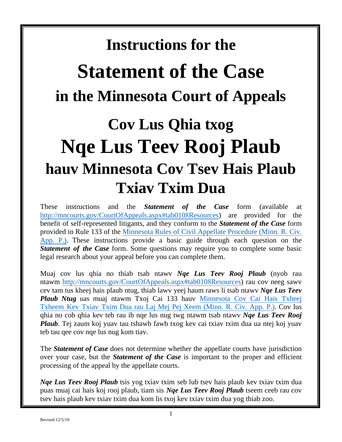# **Instructions for the**

# **Statement of the Case in the Minnesota Court of Appeals**

# **Cov Lus Qhia txog Nqe Lus Teev Rooj Plaub hauv Minnesota Cov Tsev Hais Plaub Txiav Txim Dua**

These instructions and the *Statement of the Case* form (available at [http://mncourts.gov/CourtOfAppeals.aspx#tab010](http://mncourts.gov/CourtOfAppeals.aspx%23tab0103Resources)8Resources) are provided for the benefit of self-represented litigants, and they conform to the *Statement of the Case* form [provided in Rule 133 of the Minnesota Rules of Civil Appellate Procedure \(Minn. R. Civ.](https://www.revisor.mn.gov/court_rules/rule/aprcap-toh/) App. P.). These instructions provide a basic guide through each question on the **Statement of the Case** form. Some questions may require you to complete some basic legal research about your appeal before you can complete them.

Muaj cov lus qhia no thiab tsab ntawv *Nqe Lus Teev Rooj Plaub* (nyob rau [ntawm http://mncourts.gov/CourtOfAppeals.aspx#tab010](http://mncourts.gov/CourtOfAppeals.aspx%23tab0103Resources)8Resources) rau cov neeg sawv cev tam tus kheej hais plaub ntug, thiab lawv yeej haum raws li tsab ntawv *Nqe Lus Teev Plaub Ntug* uas muaj ntawm [Txoj Cai 133 hauv Minnesota Cov Cai Hais Txheej](https://www.revisor.mn.gov/court_rules/rule/aprcap-toh/)  [Txheem Kev Txiav Txim Dua rau Laj Mej Pej X](https://www.revisor.mn.gov/court_rules/rule/aprcap-toh/)eem (Minn. R. Civ. App. P.). Cov lus qhia no cob qhia kev teb rau ib nqe lus nug twg ntawm tsab ntawv *Nqe Lus Teev Rooj Plaub*. Tej zaum koj yuav tau tshawb fawb txog kev cai txiav txim dua ua ntej koj yuav teb tau qee cov nqe lus nug kom tiav.

The *Statement of Case* does not determine whether the appellate courts have jurisdiction over your case, but the *Statement of the Case* is important to the proper and efficient processing of the appeal by the appellate courts.

*Nqe Lus Teev Rooj Plaub* tsis yog txiav txim seb lub tsev hais plaub kev txiav txim dua puas muaj cai hais koj rooj plaub, tiam sis *Nqe Lus Teev Rooj Plaub* tseem ceeb rau cov tsev hais plaub kev txiav txim dua kom lis txoj kev txiav txim dua yog thiab zoo.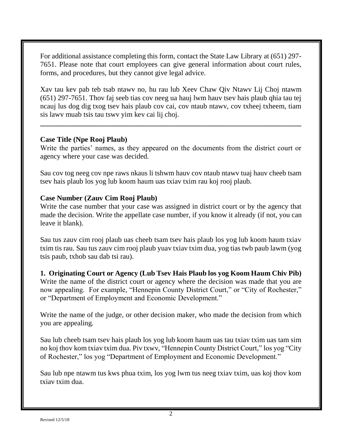For additional assistance completing this form, contact the State Law Library at (651) 297- 7651. Please note that court employees can give general information about court rules, forms, and procedures, but they cannot give legal advice.

Xav tau kev pab teb tsab ntawv no, hu rau lub Xeev Chaw Qiv Ntawv Lij Choj ntawm (651) 297-7651. Thov faj seeb tias cov neeg ua hauj lwm hauv tsev hais plaub qhia tau tej ncauj lus dog dig txog tsev hais plaub cov cai, cov ntaub ntawv, cov txheej txheem, tiam sis lawv muab tsis tau tswv yim kev cai lij choj.

**\_\_\_\_\_\_\_\_\_\_\_\_\_\_\_\_\_\_\_\_\_\_\_\_\_\_\_\_\_\_\_\_\_\_\_\_\_\_\_\_\_\_\_\_\_\_\_\_\_\_\_\_\_\_\_\_\_\_\_\_\_\_\_\_\_\_\_\_\_\_\_\_**

#### **Case Title (Npe Rooj Plaub)**

Write the parties' names, as they appeared on the documents from the district court or agency where your case was decided.

Sau cov tog neeg cov npe raws nkaus li tshwm hauv cov ntaub ntawv tuaj hauv cheeb tsam tsev hais plaub los yog lub koom haum uas txiav txim rau koj rooj plaub.

# **Case Number (Zauv Cim Rooj Plaub)**

Write the case number that your case was assigned in district court or by the agency that made the decision. Write the appellate case number, if you know it already (if not, you can leave it blank).

Sau tus zauv cim rooj plaub uas cheeb tsam tsev hais plaub los yog lub koom haum txiav txim tis rau. Sau tus zauv cim rooj plaub yuav txiav txim dua, yog tias twb paub lawm (yog tsis paub, txhob sau dab tsi rau).

**1. Originating Court or Agency (Lub Tsev Hais Plaub los yog Koom Haum Chiv Pib)** Write the name of the district court or agency where the decision was made that you are now appealing. For example, "Hennepin County District Court," or "City of Rochester," or "Department of Employment and Economic Development."

Write the name of the judge, or other decision maker, who made the decision from which you are appealing.

Sau lub cheeb tsam tsev hais plaub los yog lub koom haum uas tau txiav txim uas tam sim no koj thov kom txiav txim dua. Piv txwv, "Hennepin County District Court," los yog "City of Rochester," los yog "Department of Employment and Economic Development."

Sau lub npe ntawm tus kws phua txim, los yog lwm tus neeg txiav txim, uas koj thov kom txiav txim dua.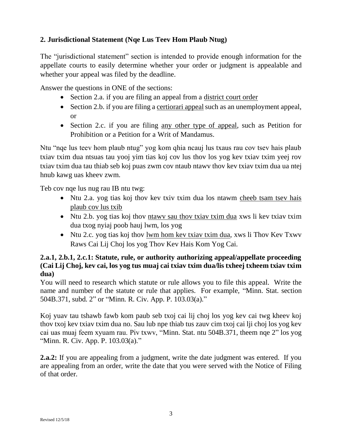# **2. Jurisdictional Statement (Nqe Lus Teev Hom Plaub Ntug)**

The "jurisdictional statement" section is intended to provide enough information for the appellate courts to easily determine whether your order or judgment is appealable and whether your appeal was filed by the deadline.

Answer the questions in ONE of the sections:

- Section 2.a. if you are filing an appeal from a district court order
- Section 2.b. if you are filing a certiorari appeal such as an unemployment appeal, or
- Section 2.c. if you are filing any other type of appeal, such as Petition for Prohibition or a Petition for a Writ of Mandamus.

Ntu "nqe lus teev hom plaub ntug" yog kom qhia ncauj lus txaus rau cov tsev hais plaub txiav txim dua ntsuas tau yooj yim tias koj cov lus thov los yog kev txiav txim yeej rov txiav txim dua tau thiab seb koj puas zwm cov ntaub ntawv thov kev txiav txim dua ua ntej hnub kawg uas kheev zwm.

Teb cov nqe lus nug rau IB ntu twg:

- Ntu 2.a. yog tias koj thov kev txiv txim dua los ntawm cheeb tsam tsev hais plaub cov lus txib
- Ntu 2.b. yog tias koj thov ntawy sau thov txiav txim dua xws li kev txiav txim dua txog nyiaj poob hauj lwm, los yog
- Ntu 2.c. yog tias koj thov lwm hom kev txiav txim dua, xws li Thov Kev Txwv Raws Cai Lij Choj los yog Thov Kev Hais Kom Yog Cai.

### **2.a.1, 2.b.1, 2.c.1: Statute, rule, or authority authorizing appeal/appellate proceeding (Cai Lij Choj, kev cai, los yog tus muaj cai txiav txim dua/lis txheej txheem txiav txim dua)**

You will need to research which statute or rule allows you to file this appeal. Write the name and number of the statute or rule that applies. For example, "Minn. Stat. section 504B.371, subd. 2" or "Minn. R. Civ. App. P. 103.03(a)."

Koj yuav tau tshawb fawb kom paub seb txoj cai lij choj los yog kev cai twg kheev koj thov txoj kev txiav txim dua no. Sau lub npe thiab tus zauv cim txoj cai lji choj los yog kev cai uas muaj feem xyuam rau. Piv txwv, "Minn. Stat. ntu 504B.371, theem nqe 2" los yog "Minn. R. Civ. App. P. 103.03(a)."

**2.a.2:** If you are appealing from a judgment, write the date judgment was entered. If you are appealing from an order, write the date that you were served with the Notice of Filing of that order.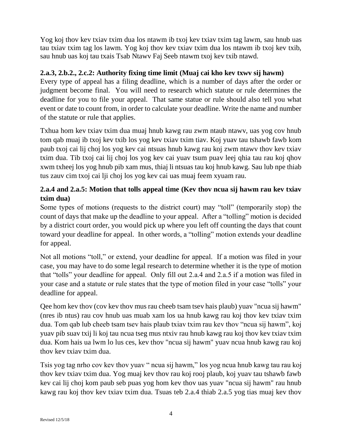Yog koj thov kev txiav txim dua los ntawm ib txoj kev txiav txim tag lawm, sau hnub uas tau txiav txim tag los lawm. Yog koj thov kev txiav txim dua los ntawm ib txoj kev txib, sau hnub uas koj tau txais Tsab Ntawv Faj Seeb ntawm txoj kev txib ntawd.

### **2.a.3, 2.b.2., 2.c.2: Authority fixing time limit (Muaj cai kho kev txwv sij hawm)**

Every type of appeal has a filing deadline, which is a number of days after the order or judgment become final. You will need to research which statute or rule determines the deadline for you to file your appeal. That same statue or rule should also tell you what event or date to count from, in order to calculate your deadline. Write the name and number of the statute or rule that applies.

Txhua hom kev txiav txim dua muaj hnub kawg rau zwm ntaub ntawv, uas yog cov hnub tom qab muaj ib txoj kev txib los yog kev txiav txim tiav. Koj yuav tau tshawb fawb kom paub txoj cai lij choj los yog kev cai ntsuas hnub kawg rau koj zwm ntawv thov kev txiav txim dua. Tib txoj cai lij choj los yog kev cai yuav tsum puav leej qhia tau rau koj qhov xwm txheej los yog hnub pib xam mus, thiaj li ntsuas tau koj hnub kawg. Sau lub npe thiab tus zauv cim txoj cai lji choj los yog kev cai uas muaj feem xyuam rau.

# **2.a.4 and 2.a.5: Motion that tolls appeal time (Kev thov ncua sij hawm rau kev txiav txim dua)**

Some types of motions (requests to the district court) may "toll" (temporarily stop) the count of days that make up the deadline to your appeal. After a "tolling" motion is decided by a district court order, you would pick up where you left off counting the days that count toward your deadline for appeal. In other words, a "tolling" motion extends your deadline for appeal.

Not all motions "toll," or extend, your deadline for appeal. If a motion was filed in your case, you may have to do some legal research to determine whether it is the type of motion that "tolls" your deadline for appeal. Only fill out 2.a.4 and 2.a.5 if a motion was filed in your case and a statute or rule states that the type of motion filed in your case "tolls" your deadline for appeal.

Qee hom kev thov (cov kev thov mus rau cheeb tsam tsev hais plaub) yuav "ncua sij hawm" (nres ib ntus) rau cov hnub uas muab xam los ua hnub kawg rau koj thov kev txiav txim dua. Tom qab lub cheeb tsam tsev hais plaub txiav txim rau kev thov "ncua sij hawm", koj yuav pib suav txij li koj tau ncua tseg mus ntxiv rau hnub kawg rau koj thov kev txiav txim dua. Kom hais ua lwm lo lus ces, kev thov "ncua sij hawm" yuav ncua hnub kawg rau koj thov kev txiav txim dua.

Tsis yog tag nrho cov kev thov yuav " ncua sij hawm," los yog ncua hnub kawg tau rau koj thov kev txiav txim dua. Yog muaj kev thov rau koj rooj plaub, koj yuav tau tshawb fawb kev cai lij choj kom paub seb puas yog hom kev thov uas yuav "ncua sij hawm" rau hnub kawg rau koj thov kev txiav txim dua. Tsuas teb 2.a.4 thiab 2.a.5 yog tias muaj kev thov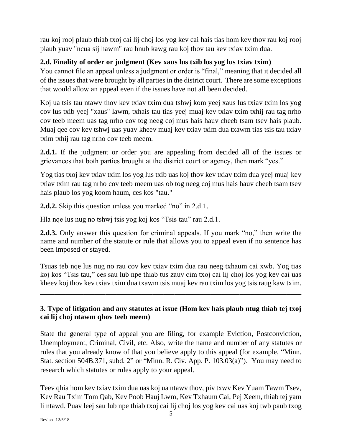rau koj rooj plaub thiab txoj cai lij choj los yog kev cai hais tias hom kev thov rau koj rooj plaub yuav "ncua sij hawm" rau hnub kawg rau koj thov tau kev txiav txim dua.

# **2.d. Finality of order or judgment (Kev xaus lus txib los yog lus txiav txim)**

You cannot file an appeal unless a judgment or order is "final," meaning that it decided all of the issues that were brought by all parties in the district court. There are some exceptions that would allow an appeal even if the issues have not all been decided.

Koj ua tsis tau ntawv thov kev txiav txim dua tshwj kom yeej xaus lus txiav txim los yog cov lus txib yeej "xaus" lawm, txhais tau tias yeej muaj kev txiav txim txhij rau tag nrho cov teeb meem uas tag nrho cov tog neeg coj mus hais hauv cheeb tsam tsev hais plaub. Muaj qee cov kev tshwj uas yuav kheev muaj kev txiav txim dua txawm tias tsis tau txiav txim txhij rau tag nrho cov teeb meem.

**2.d.1.** If the judgment or order you are appealing from decided all of the issues or grievances that both parties brought at the district court or agency, then mark "yes."

Yog tias txoj kev txiav txim los yog lus txib uas koj thov kev txiav txim dua yeej muaj kev txiav txim rau tag nrho cov teeb meem uas ob tog neeg coj mus hais hauv cheeb tsam tsev hais plaub los yog koom haum, ces kos "tau."

**2.d.2.** Skip this question unless you marked "no" in 2.d.1.

Hla nqe lus nug no tshwj tsis yog koj kos "Tsis tau" rau 2.d.1.

**2.d.3.** Only answer this question for criminal appeals. If you mark "no," then write the name and number of the statute or rule that allows you to appeal even if no sentence has been imposed or stayed.

Tsuas teb nqe lus nug no rau cov kev txiav txim dua rau neeg txhaum cai xwb. Yog tias koj kos "Tsis tau," ces sau lub npe thiab tus zauv cim txoj cai lij choj los yog kev cai uas kheev koj thov kev txiav txim dua txawm tsis muaj kev rau txim los yog tsis raug kaw txim.

\_\_\_\_\_\_\_\_\_\_\_\_\_\_\_\_\_\_\_\_\_\_\_\_\_\_\_\_\_\_\_\_\_\_\_\_\_\_\_\_\_\_\_\_\_\_\_\_\_\_\_\_\_\_\_\_\_\_\_\_\_\_\_\_\_\_\_\_\_\_\_\_

# **3. Type of litigation and any statutes at issue (Hom kev hais plaub ntug thiab tej txoj cai lij choj ntawm qhov teeb meem)**

State the general type of appeal you are filing, for example Eviction, Postconviction, Unemployment, Criminal, Civil, etc. Also, write the name and number of any statutes or rules that you already know of that you believe apply to this appeal (for example, "Minn. Stat. section 504B.371, subd. 2" or "Minn. R. Civ. App. P. 103.03(a)"). You may need to research which statutes or rules apply to your appeal.

Teev qhia hom kev txiav txim dua uas koj ua ntawv thov, piv txwv Kev Yuam Tawm Tsev, Kev Rau Txim Tom Qab, Kev Poob Hauj Lwm, Kev Txhaum Cai, Pej Xeem, thiab tej yam li ntawd. Puav leej sau lub npe thiab txoj cai lij choj los yog kev cai uas koj twb paub txog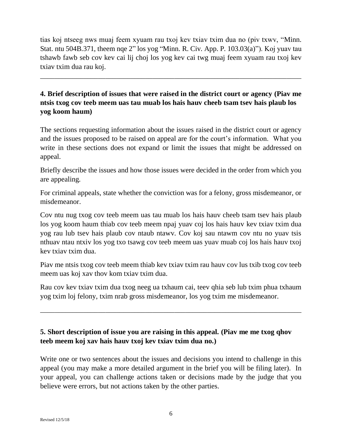tias koj ntseeg nws muaj feem xyuam rau txoj kev txiav txim dua no (piv txwv, "Minn. Stat. ntu 504B.371, theem nqe 2" los yog "Minn. R. Civ. App. P. 103.03(a)"). Koj yuav tau tshawb fawb seb cov kev cai lij choj los yog kev cai twg muaj feem xyuam rau txoj kev txiav txim dua rau koj.

\_\_\_\_\_\_\_\_\_\_\_\_\_\_\_\_\_\_\_\_\_\_\_\_\_\_\_\_\_\_\_\_\_\_\_\_\_\_\_\_\_\_\_\_\_\_\_\_\_\_\_\_\_\_\_\_\_\_\_\_\_\_\_\_\_\_\_\_\_\_\_\_

# **4. Brief description of issues that were raised in the district court or agency (Piav me ntsis txog cov teeb meem uas tau muab los hais hauv cheeb tsam tsev hais plaub los yog koom haum)**

The sections requesting information about the issues raised in the district court or agency and the issues proposed to be raised on appeal are for the court's information. What you write in these sections does not expand or limit the issues that might be addressed on appeal.

Briefly describe the issues and how those issues were decided in the order from which you are appealing.

For criminal appeals, state whether the conviction was for a felony, gross misdemeanor, or misdemeanor.

Cov ntu nug txog cov teeb meem uas tau muab los hais hauv cheeb tsam tsev hais plaub los yog koom haum thiab cov teeb meem npaj yuav coj los hais hauv kev txiav txim dua yog rau lub tsev hais plaub cov ntaub ntawv. Cov koj sau ntawm cov ntu no yuav tsis nthuav ntau ntxiv los yog txo tsawg cov teeb meem uas yuav muab coj los hais hauv txoj kev txiav txim dua.

Piav me ntsis txog cov teeb meem thiab kev txiav txim rau hauv cov lus txib txog cov teeb meem uas koj xav thov kom txiav txim dua.

Rau cov kev txiav txim dua txog neeg ua txhaum cai, teev qhia seb lub txim phua txhaum yog txim loj felony, txim nrab gross misdemeanor, los yog txim me misdemeanor.

\_\_\_\_\_\_\_\_\_\_\_\_\_\_\_\_\_\_\_\_\_\_\_\_\_\_\_\_\_\_\_\_\_\_\_\_\_\_\_\_\_\_\_\_\_\_\_\_\_\_\_\_\_\_\_\_\_\_\_\_\_\_\_\_\_\_\_\_\_\_\_\_

# **5. Short description of issue you are raising in this appeal. (Piav me me txog qhov teeb meem koj xav hais hauv txoj kev txiav txim dua no.)**

Write one or two sentences about the issues and decisions you intend to challenge in this appeal (you may make a more detailed argument in the brief you will be filing later). In your appeal, you can challenge actions taken or decisions made by the judge that you believe were errors, but not actions taken by the other parties.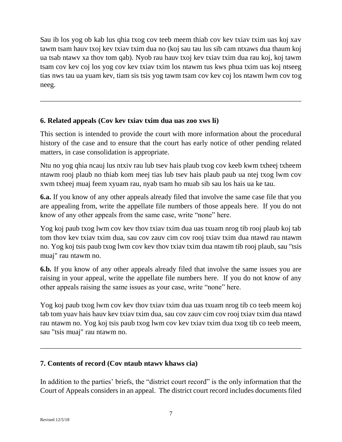Sau ib los yog ob kab lus qhia txog cov teeb meem thiab cov kev txiav txim uas koj xav tawm tsam hauv txoj kev txiav txim dua no (koj sau tau lus sib cam ntxaws dua thaum koj ua tsab ntawv xa thov tom qab). Nyob rau hauv txoj kev txiav txim dua rau koj, koj tawm tsam cov kev coj los yog cov kev txiav txim los ntawm tus kws phua txim uas koj ntseeg tias nws tau ua yuam kev, tiam sis tsis yog tawm tsam cov kev coj los ntawm lwm cov tog neeg.

\_\_\_\_\_\_\_\_\_\_\_\_\_\_\_\_\_\_\_\_\_\_\_\_\_\_\_\_\_\_\_\_\_\_\_\_\_\_\_\_\_\_\_\_\_\_\_\_\_\_\_\_\_\_\_\_\_\_\_\_\_\_\_\_\_\_\_\_\_\_\_\_

# **6. Related appeals (Cov kev txiav txim dua uas zoo xws li)**

This section is intended to provide the court with more information about the procedural history of the case and to ensure that the court has early notice of other pending related matters, in case consolidation is appropriate.

Ntu no yog qhia ncauj lus ntxiv rau lub tsev hais plaub txog cov keeb kwm txheej txheem ntawm rooj plaub no thiab kom meej tias lub tsev hais plaub paub ua ntej txog lwm cov xwm txheej muaj feem xyuam rau, nyab tsam ho muab sib sau los hais ua ke tau.

**6.a.** If you know of any other appeals already filed that involve the same case file that you are appealing from, write the appellate file numbers of those appeals here. If you do not know of any other appeals from the same case, write "none" here.

Yog koj paub txog lwm cov kev thov txiav txim dua uas txuam nrog tib rooj plaub koj tab tom thov kev txiav txim dua, sau cov zauv cim cov rooj txiav txim dua ntawd rau ntawm no. Yog koj tsis paub txog lwm cov kev thov txiav txim dua ntawm tib rooj plaub, sau "tsis muaj" rau ntawm no.

**6.b.** If you know of any other appeals already filed that involve the same issues you are raising in your appeal, write the appellate file numbers here. If you do not know of any other appeals raising the same issues as your case, write "none" here.

Yog koj paub txog lwm cov kev thov txiav txim dua uas txuam nrog tib co teeb meem koj tab tom yuav hais hauv kev txiav txim dua, sau cov zauv cim cov rooj txiav txim dua ntawd rau ntawm no. Yog koj tsis paub txog lwm cov kev txiav txim dua txog tib co teeb meem, sau "tsis muaj" rau ntawm no.

\_\_\_\_\_\_\_\_\_\_\_\_\_\_\_\_\_\_\_\_\_\_\_\_\_\_\_\_\_\_\_\_\_\_\_\_\_\_\_\_\_\_\_\_\_\_\_\_\_\_\_\_\_\_\_\_\_\_\_\_\_\_\_\_\_\_\_\_\_\_\_\_

# **7. Contents of record (Cov ntaub ntawv khaws cia)**

In addition to the parties' briefs, the "district court record" is the only information that the Court of Appeals considers in an appeal. The district court record includes documents filed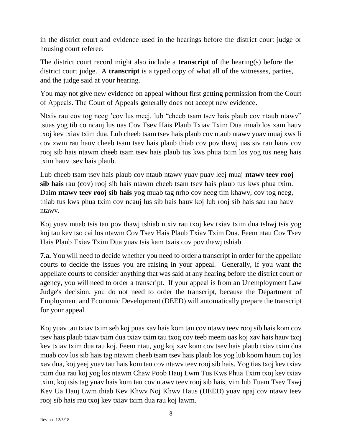in the district court and evidence used in the hearings before the district court judge or housing court referee.

The district court record might also include a **transcript** of the hearing(s) before the district court judge. A **transcript** is a typed copy of what all of the witnesses, parties, and the judge said at your hearing.

You may not give new evidence on appeal without first getting permission from the Court of Appeals. The Court of Appeals generally does not accept new evidence.

Ntxiv rau cov tog neeg 'cov lus meej, lub "cheeb tsam tsev hais plaub cov ntaub ntawv" tsuas yog tib co ncauj lus uas Cov Tsev Hais Plaub Txiav Txim Dua muab los xam hauv txoj kev txiav txim dua. Lub cheeb tsam tsev hais plaub cov ntaub ntawv yuav muaj xws li cov zwm rau hauv cheeb tsam tsev hais plaub thiab cov pov thawj uas siv rau hauv cov rooj sib hais ntawm cheeb tsam tsev hais plaub tus kws phua txim los yog tus neeg hais txim hauv tsev hais plaub.

Lub cheeb tsam tsev hais plaub cov ntaub ntawv yuav puav leej muaj **ntawv teev rooj sib hais** rau (cov) rooj sib hais ntawm cheeb tsam tsev hais plaub tus kws phua txim. Daim **ntawv teev rooj sib hais** yog muab tag nrho cov neeg tim khawv, cov tog neeg, thiab tus kws phua txim cov ncauj lus sib hais hauv koj lub rooj sib hais sau rau hauv ntawv.

Koj yuav muab tsis tau pov thawj tshiab ntxiv rau txoj kev txiav txim dua tshwj tsis yog koj tau kev tso cai los ntawm Cov Tsev Hais Plaub Txiav Txim Dua. Feem ntau Cov Tsev Hais Plaub Txiav Txim Dua yuav tsis kam txais cov pov thawj tshiab.

**7.a.** You will need to decide whether you need to order a transcript in order for the appellate courts to decide the issues you are raising in your appeal. Generally, if you want the appellate courts to consider anything that was said at any hearing before the district court or agency, you will need to order a transcript. If your appeal is from an Unemployment Law Judge's decision, you do not need to order the transcript, because the Department of Employment and Economic Development (DEED) will automatically prepare the transcript for your appeal.

Koj yuav tau txiav txim seb koj puas xav hais kom tau cov ntawv teev rooj sib hais kom cov tsev hais plaub txiav txim dua txiav txim tau txog cov teeb meem uas koj xav hais hauv txoj kev txiav txim dua rau koj. Feem ntau, yog koj xav kom cov tsev hais plaub txiav txim dua muab cov lus sib hais tag ntawm cheeb tsam tsev hais plaub los yog lub koom haum coj los xav dua, koj yeej yuav tau hais kom tau cov ntawv teev rooj sib hais. Yog tias txoj kev txiav txim dua rau koj yog los ntawm Chaw Poob Hauj Lwm Tus Kws Phua Txim txoj kev txiav txim, koj tsis tag yuav hais kom tau cov ntawv teev rooj sib hais, vim lub Tuam Tsev Tswj Kev Ua Hauj Lwm thiab Kev Khwv Noj Khwv Haus (DEED) yuav npaj cov ntawv teev rooj sib hais rau txoj kev txiav txim dua rau koj lawm.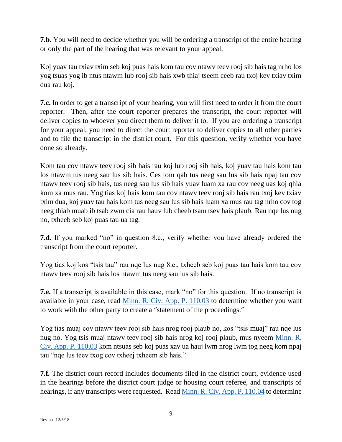**7.b.** You will need to decide whether you will be ordering a transcript of the entire hearing or only the part of the hearing that was relevant to your appeal.

Koj yuav tau txiav txim seb koj puas hais kom tau cov ntawv teev rooj sib hais tag nrho los yog tsuas yog ib ntus ntawm lub rooj sib hais xwb thiaj tseem ceeb rau txoj kev txiav txim dua rau koj.

**7.c.** In order to get a transcript of your hearing, you will first need to order it from the court reporter. Then, after the court reporter prepares the transcript, the court reporter will deliver copies to whoever you direct them to deliver it to. If you are ordering a transcript for your appeal, you need to direct the court reporter to deliver copies to all other parties and to file the transcript in the district court. For this question, verify whether you have done so already.

Kom tau cov ntawv teev rooj sib hais rau koj lub rooj sib hais, koj yuav tau hais kom tau los ntawm tus neeg sau lus sib hais. Ces tom qab tus neeg sau lus sib hais npaj tau cov ntawv teev rooj sib hais, tus neeg sau lus sib hais yuav luam xa rau cov neeg uas koj qhia kom xa mus rau. Yog tias koj hais kom tau cov ntawv teev rooj sib hais rau txoj kev txiav txim dua, koj yuav tau hais kom tus neeg sau lus sib hais luam xa mus rau tag nrho cov tog neeg thiab muab ib tsab zwm cia rau hauv lub cheeb tsam tsev hais plaub. Rau nqe lus nug no, txheeb seb koj puas tau ua tag.

**7.d.** If you marked "no" in question 8.c., verify whether you have already ordered the transcript from the court reporter.

Yog tias koj kos "tsis tau" rau nqe lus nug 8.c., txheeb seb koj puas tau hais kom tau cov ntawv teev rooj sib hais los ntawm tus neeg sau lus sib hais.

**7.e.** If a transcript is available in this case, mark "no" for this question. If no transcript is available in your case, read [Minn. R. Civ. App. P.](https://www.revisor.mn.gov/court_rules/ap/subtype/rcap/id/128/#128.01) 110.03 to determine whether you want to work with the other party to create a "statement of the proceedings."

Yog tias muaj cov ntawv teev rooj sib hais nrog rooj plaub no, kos "tsis muaj" rau nqe lus nug no. Yog tsis muaj ntawv teev rooj sib hais nrog koj rooj plaub, mus nyeem [Minn. R.](https://www.revisor.mn.gov/court_rules/ap/subtype/rcap/id/128/#128.01)  [Civ. App. P. 110.03](https://www.revisor.mn.gov/court_rules/ap/subtype/rcap/id/128/#128.01) kom ntsuas seb koj puas xav ua hauj lwm nrog lwm tog neeg kom npaj tau "nqe lus teev txog cov txheej txheem sib hais."

**7.f.** The district court record includes documents filed in the district court, evidence used in the hearings before the district court judge or housing court referee, and transcripts of hearings, if any transcripts were requested. Read [Minn. R. Civ. App.](https://www.revisor.mn.gov/court_rules/ap/subtype/rcap/id/110/#110.04) P. 110.04 to determine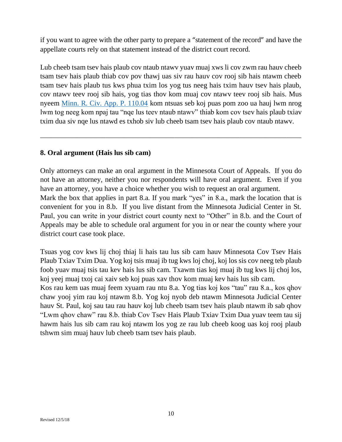if you want to agree with the other party to prepare a "statement of the record" and have the appellate courts rely on that statement instead of the district court record.

Lub cheeb tsam tsev hais plaub cov ntaub ntawv yuav muaj xws li cov zwm rau hauv cheeb tsam tsev hais plaub thiab cov pov thawj uas siv rau hauv cov rooj sib hais ntawm cheeb tsam tsev hais plaub tus kws phua txim los yog tus neeg hais txim hauv tsev hais plaub, cov ntawv teev rooj sib hais, yog tias thov kom muaj cov ntawv teev rooj sib hais. Mus nyeem [Minn. R. Civ. App. P. 110.04](https://www.revisor.mn.gov/court_rules/ap/subtype/rcap/id/110/#110.04) kom ntsuas seb koj puas pom zoo ua hauj lwm nrog lwm tog neeg kom npaj tau "nqe lus teev ntaub ntawv" thiab kom cov tsev hais plaub txiav txim dua siv nqe lus ntawd es txhob siv lub cheeb tsam tsev hais plaub cov ntaub ntawv.

\_\_\_\_\_\_\_\_\_\_\_\_\_\_\_\_\_\_\_\_\_\_\_\_\_\_\_\_\_\_\_\_\_\_\_\_\_\_\_\_\_\_\_\_\_\_\_\_\_\_\_\_\_\_\_\_\_\_\_\_\_\_\_\_\_\_\_\_\_\_\_\_

#### **8. Oral argument (Hais lus sib cam)**

Only attorneys can make an oral argument in the Minnesota Court of Appeals. If you do not have an attorney, neither you nor respondents will have oral argument. Even if you have an attorney, you have a choice whether you wish to request an oral argument. Mark the box that applies in part 8.a. If you mark "yes" in 8.a., mark the location that is convenient for you in 8.b. If you live distant from the Minnesota Judicial Center in St. Paul, you can write in your district court county next to "Other" in 8.b. and the Court of Appeals may be able to schedule oral argument for you in or near the county where your district court case took place.

Tsuas yog cov kws lij choj thiaj li hais tau lus sib cam hauv Minnesota Cov Tsev Hais Plaub Txiav Txim Dua. Yog koj tsis muaj ib tug kws loj choj, koj los sis cov neeg teb plaub foob yuav muaj tsis tau kev hais lus sib cam. Txawm tias koj muaj ib tug kws lij choj los, koj yeej muaj txoj cai xaiv seb koj puas xav thov kom muaj kev hais lus sib cam.

Kos rau kem uas muaj feem xyuam rau ntu 8.a. Yog tias koj kos "tau" rau 8.a., kos qhov chaw yooj yim rau koj ntawm 8.b. Yog koj nyob deb ntawm Minnesota Judicial Center hauv St. Paul, koj sau tau rau hauv koj lub cheeb tsam tsev hais plaub ntawm ib sab qhov "Lwm qhov chaw" rau 8.b. thiab Cov Tsev Hais Plaub Txiav Txim Dua yuav teem tau sij hawm hais lus sib cam rau koj ntawm los yog ze rau lub cheeb koog uas koj rooj plaub tshwm sim muaj hauv lub cheeb tsam tsev hais plaub.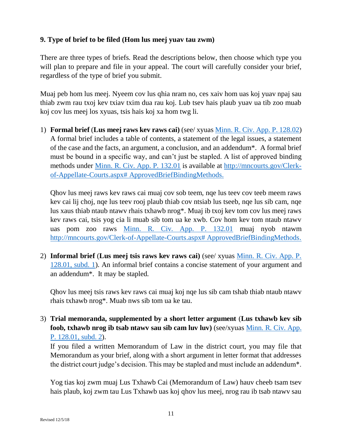### **9. Type of brief to be filed (Hom lus meej yuav tau zwm)**

There are three types of briefs. Read the descriptions below, then choose which type you will plan to prepare and file in your appeal. The court will carefully consider your brief, regardless of the type of brief you submit.

Muaj peb hom lus meej. Nyeem cov lus qhia nram no, ces xaiv hom uas koj yuav npaj sau thiab zwm rau txoj kev txiav txim dua rau koj. Lub tsev hais plaub yuav ua tib zoo muab koj cov lus meej los xyuas, tsis hais koj xa hom twg li.

1) **Formal brief** (**Lus meej raws kev raws cai)** (see/ xyuas [Minn. R. Civ. App. P. 128.02\)](https://www.revisor.mn.gov/court_rules/ap/subtype/rcap/id/128/#128.02) A formal brief includes a table of contents, a statement of the legal issues, a statement of the case and the facts, an argument, a conclusion, and an addendum\*. A formal brief must be bound in a specific way, and can't just be stapled. A list of approved binding methods under [Minn. R. Civ. App. P. 132.01](https://www.revisor.mn.gov/court_rules/ap/subtype/rcap/id/132/#132.01) is available at [http://mncourts.gov/Clerk](http://mncourts.gov/Clerk-of-Appellate-Courts.aspx# ApprovedBriefBindingMethods)[of-Appellate-Courts.aspx# ApprovedBriefBindingMethods.](http://mncourts.gov/Clerk-of-Appellate-Courts.aspx# ApprovedBriefBindingMethods)

Qhov lus meej raws kev raws cai muaj cov sob teem, nqe lus teev cov teeb meem raws kev cai lij choj, nqe lus teev rooj plaub thiab cov ntsiab lus tseeb, nqe lus sib cam, nqe lus xaus thiab ntaub ntawv rhais txhawb nrog\*. Muaj ib txoj kev tom cov lus meej raws kev raws cai, tsis yog cia li muab sib tom ua ke xwb. Cov hom kev tom ntaub ntawv uas pom zoo raws [Minn. R. Civ. App. P. 132.01](https://www.revisor.mn.gov/court_rules/ap/subtype/rcap/id/132/#132.01) muaj nyob ntawm [http://mncourts.gov/Clerk-of-Appellate-Courts.aspx# ApprovedBriefBindingMethods.](http://mncourts.gov/Clerk-of-Appellate-Courts.aspx# ApprovedBriefBindingMethods)

2) **Informal brief** (**Lus meej tsis raws kev raws cai)** (see/ xyuas [Minn. R. Civ. App. P.](https://www.revisor.mn.gov/court_rules/ap/subtype/rcap/id/128/#128.01)  [128.01, subd. 1\)](https://www.revisor.mn.gov/court_rules/ap/subtype/rcap/id/128/#128.01). An informal brief contains a concise statement of your argument and an addendum\*. It may be stapled.

Qhov lus meej tsis raws kev raws cai muaj koj nqe lus sib cam tshab thiab ntaub ntawv rhais txhawb nrog\*. Muab nws sib tom ua ke tau.

3) **Trial memoranda, supplemented by a short letter argument** (**Lus txhawb kev sib foob, txhawb nrog ib tsab ntawv sau sib cam luv luv)** (see/xyuas [Minn. R. Civ. App.](https://www.revisor.mn.gov/court_rules/ap/subtype/rcap/id/128/#128.01)  [P. 128.01, subd.](https://www.revisor.mn.gov/court_rules/ap/subtype/rcap/id/128/#128.01) 2).

If you filed a written Memorandum of Law in the district court, you may file that Memorandum as your brief, along with a short argument in letter format that addresses the district court judge's decision. This may be stapled and must include an addendum\*.

Yog tias koj zwm muaj Lus Txhawb Cai (Memorandum of Law) hauv cheeb tsam tsev hais plaub, koj zwm tau Lus Txhawb uas koj qhov lus meej, nrog rau ib tsab ntawv sau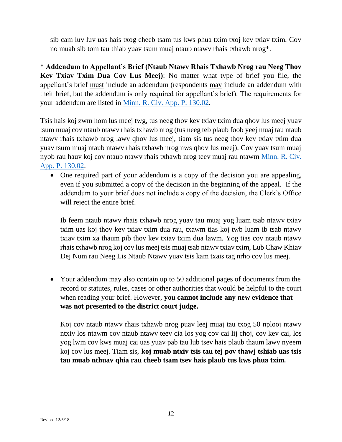sib cam luv luv uas hais txog cheeb tsam tus kws phua txim txoj kev txiav txim. Cov no muab sib tom tau thiab yuav tsum muaj ntaub ntawv rhais txhawb nrog\*.

\* **Addendum to Appellant's Brief (Ntaub Ntawv Rhais Txhawb Nrog rau Neeg Thov Kev Txiav Txim Dua Cov Lus Meej)**: No matter what type of brief you file, the appellant's brief must include an addendum (respondents may include an addendum with their brief, but the addendum is only required for appellant's brief). The requirements for your addendum are listed in [Minn. R. Civ. App. P. 130.02.](https://www.revisor.mn.gov/court_rules/ap/subtype/rcap/id/130/#130.02)

Tsis hais koj zwm hom lus meej twg, tus neeg thov kev txiav txim dua qhov lus meej yuav tsum muaj cov ntaub ntawv rhais txhawb nrog (tus neeg teb plaub foob yeej muaj tau ntaub ntawv rhais txhawb nrog lawv qhov lus meej, tiam sis tus neeg thov kev txiav txim dua yuav tsum muaj ntaub ntawv rhais txhawb nrog nws qhov lus meej). Cov yuav tsum muaj nyob rau hauv koj cov ntaub ntawv rhais txhawb nrog teev muaj rau ntawm [Minn. R. Civ.](https://www.revisor.mn.gov/court_rules/ap/subtype/rcap/id/130/#130.02)  [App. P. 130.02.](https://www.revisor.mn.gov/court_rules/ap/subtype/rcap/id/130/#130.02)

• One required part of your addendum is a copy of the decision you are appealing, even if you submitted a copy of the decision in the beginning of the appeal. If the addendum to your brief does not include a copy of the decision, the Clerk's Office will reject the entire brief.

Ib feem ntaub ntawv rhais txhawb nrog yuav tau muaj yog luam tsab ntawv txiav txim uas koj thov kev txiav txim dua rau, txawm tias koj twb luam ib tsab ntawv txiav txim xa thaum pib thov kev txiav txim dua lawm. Yog tias cov ntaub ntawv rhais txhawb nrog koj cov lus meej tsis muaj tsab ntawv txiav txim, Lub Chaw Khiav Dej Num rau Neeg Lis Ntaub Ntawv yuav tsis kam txais tag nrho cov lus meej.

• Your addendum may also contain up to 50 additional pages of documents from the record or statutes, rules, cases or other authorities that would be helpful to the court when reading your brief. However, **you cannot include any new evidence that was not presented to the district court judge.**

Koj cov ntaub ntawv rhais txhawb nrog puav leej muaj tau txog 50 nplooj ntawv ntxiv los ntawm cov ntaub ntawv teev cia los yog cov cai lij choj, cov kev cai, los yog lwm cov kws muaj cai uas yuav pab tau lub tsev hais plaub thaum lawv nyeem koj cov lus meej. Tiam sis, **koj muab ntxiv tsis tau tej pov thawj tshiab uas tsis tau muab nthuav qhia rau cheeb tsam tsev hais plaub tus kws phua txim.**